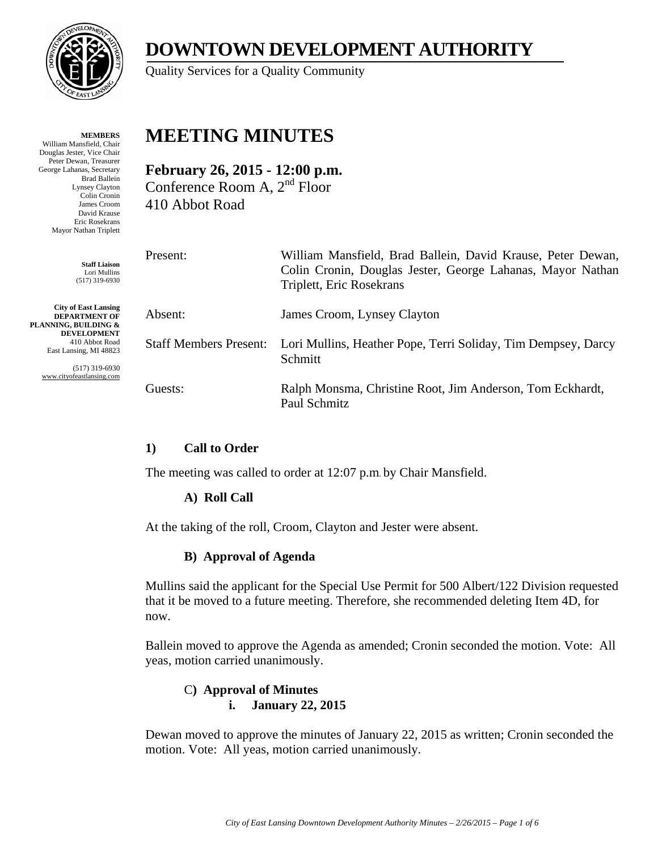

**MEMBERS** William Mansfield, Chair Douglas Jester, Vice Chair Peter Dewan, Treasurer George Lahanas, Secretary Brad Ballein Lynsey Clayton Colin Cronin James Croom David Krause Eric Rosekrans Mayor Nathan Triplett

> **Staff Liaison** Lori Mullins (517) 319-6930

**City of East Lansing DEPARTMENT OF PLANNING, BUILDING & DEVELOPMENT** 410 Abbot Road East Lansing, MI 48823

> (517) 319-6930 www.cityofeastlansing.com

# **DOWNTOWN DEVELOPMENT AUTHORITY**

Quality Services for a Quality Community

# **MEETING MINUTES**

**February 26, 2015 - 12:00 p.m.**  Conference Room A, 2nd Floor 410 Abbot Road

Present: William Mansfield, Brad Ballein, David Krause, Peter Dewan, Colin Cronin, Douglas Jester, George Lahanas, Mayor Nathan Triplett, Eric Rosekrans Absent: James Croom, Lynsey Clayton Staff Members Present: Lori Mullins, Heather Pope, Terri Soliday, Tim Dempsey, Darcy Schmitt Guests: Ralph Monsma, Christine Root, Jim Anderson, Tom Eckhardt, Paul Schmitz

# **1) Call to Order**

The meeting was called to order at 12:07 p.m. by Chair Mansfield.

# **A) Roll Call**

At the taking of the roll, Croom, Clayton and Jester were absent.

#### **B) Approval of Agenda**

Mullins said the applicant for the Special Use Permit for 500 Albert/122 Division requested that it be moved to a future meeting. Therefore, she recommended deleting Item 4D, for now.

Ballein moved to approve the Agenda as amended; Cronin seconded the motion. Vote: All yeas, motion carried unanimously.

#### C**) Approval of Minutes i. January 22, 2015**

Dewan moved to approve the minutes of January 22, 2015 as written; Cronin seconded the motion. Vote: All yeas, motion carried unanimously.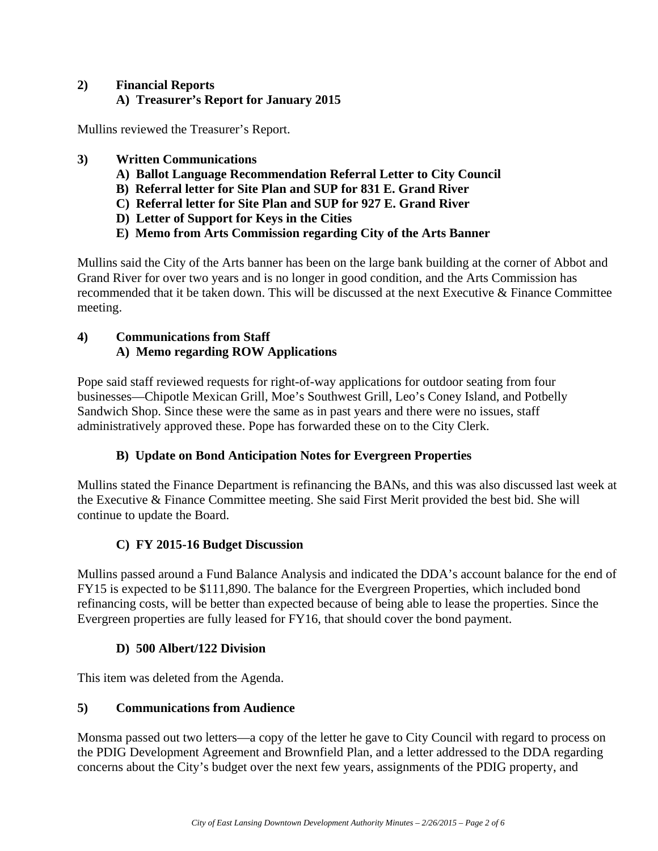# **2) Financial Reports A) Treasurer's Report for January 2015**

Mullins reviewed the Treasurer's Report.

- **3) Written Communications** 
	- **A) Ballot Language Recommendation Referral Letter to City Council**
	- **B) Referral letter for Site Plan and SUP for 831 E. Grand River**
	- **C) Referral letter for Site Plan and SUP for 927 E. Grand River**
	- **D) Letter of Support for Keys in the Cities**
	- **E) Memo from Arts Commission regarding City of the Arts Banner**

Mullins said the City of the Arts banner has been on the large bank building at the corner of Abbot and Grand River for over two years and is no longer in good condition, and the Arts Commission has recommended that it be taken down. This will be discussed at the next Executive & Finance Committee meeting.

## **4) Communications from Staff A) Memo regarding ROW Applications**

Pope said staff reviewed requests for right-of-way applications for outdoor seating from four businesses—Chipotle Mexican Grill, Moe's Southwest Grill, Leo's Coney Island, and Potbelly Sandwich Shop. Since these were the same as in past years and there were no issues, staff administratively approved these. Pope has forwarded these on to the City Clerk.

# **B) Update on Bond Anticipation Notes for Evergreen Properties**

Mullins stated the Finance Department is refinancing the BANs, and this was also discussed last week at the Executive & Finance Committee meeting. She said First Merit provided the best bid. She will continue to update the Board.

# **C) FY 2015-16 Budget Discussion**

Mullins passed around a Fund Balance Analysis and indicated the DDA's account balance for the end of FY15 is expected to be \$111,890. The balance for the Evergreen Properties, which included bond refinancing costs, will be better than expected because of being able to lease the properties. Since the Evergreen properties are fully leased for FY16, that should cover the bond payment.

#### **D) 500 Albert/122 Division**

This item was deleted from the Agenda.

# **5) Communications from Audience**

Monsma passed out two letters—a copy of the letter he gave to City Council with regard to process on the PDIG Development Agreement and Brownfield Plan, and a letter addressed to the DDA regarding concerns about the City's budget over the next few years, assignments of the PDIG property, and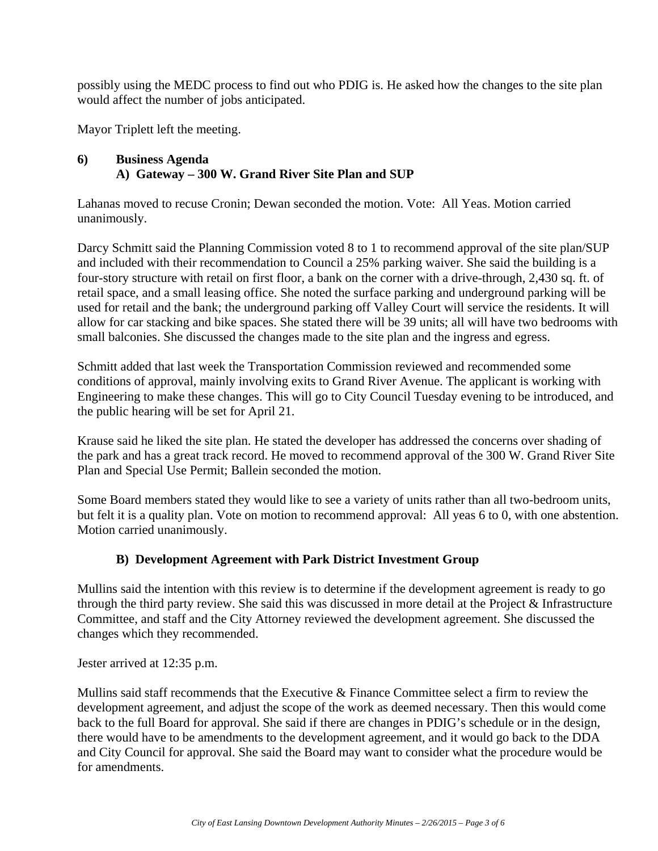possibly using the MEDC process to find out who PDIG is. He asked how the changes to the site plan would affect the number of jobs anticipated.

Mayor Triplett left the meeting.

#### **6) Business Agenda A) Gateway – 300 W. Grand River Site Plan and SUP**

Lahanas moved to recuse Cronin; Dewan seconded the motion. Vote: All Yeas. Motion carried unanimously.

Darcy Schmitt said the Planning Commission voted 8 to 1 to recommend approval of the site plan/SUP and included with their recommendation to Council a 25% parking waiver. She said the building is a four-story structure with retail on first floor, a bank on the corner with a drive-through, 2,430 sq. ft. of retail space, and a small leasing office. She noted the surface parking and underground parking will be used for retail and the bank; the underground parking off Valley Court will service the residents. It will allow for car stacking and bike spaces. She stated there will be 39 units; all will have two bedrooms with small balconies. She discussed the changes made to the site plan and the ingress and egress.

Schmitt added that last week the Transportation Commission reviewed and recommended some conditions of approval, mainly involving exits to Grand River Avenue. The applicant is working with Engineering to make these changes. This will go to City Council Tuesday evening to be introduced, and the public hearing will be set for April 21.

Krause said he liked the site plan. He stated the developer has addressed the concerns over shading of the park and has a great track record. He moved to recommend approval of the 300 W. Grand River Site Plan and Special Use Permit; Ballein seconded the motion.

Some Board members stated they would like to see a variety of units rather than all two-bedroom units, but felt it is a quality plan. Vote on motion to recommend approval: All yeas 6 to 0, with one abstention. Motion carried unanimously.

#### **B) Development Agreement with Park District Investment Group**

Mullins said the intention with this review is to determine if the development agreement is ready to go through the third party review. She said this was discussed in more detail at the Project & Infrastructure Committee, and staff and the City Attorney reviewed the development agreement. She discussed the changes which they recommended.

Jester arrived at 12:35 p.m.

Mullins said staff recommends that the Executive & Finance Committee select a firm to review the development agreement, and adjust the scope of the work as deemed necessary. Then this would come back to the full Board for approval. She said if there are changes in PDIG's schedule or in the design, there would have to be amendments to the development agreement, and it would go back to the DDA and City Council for approval. She said the Board may want to consider what the procedure would be for amendments.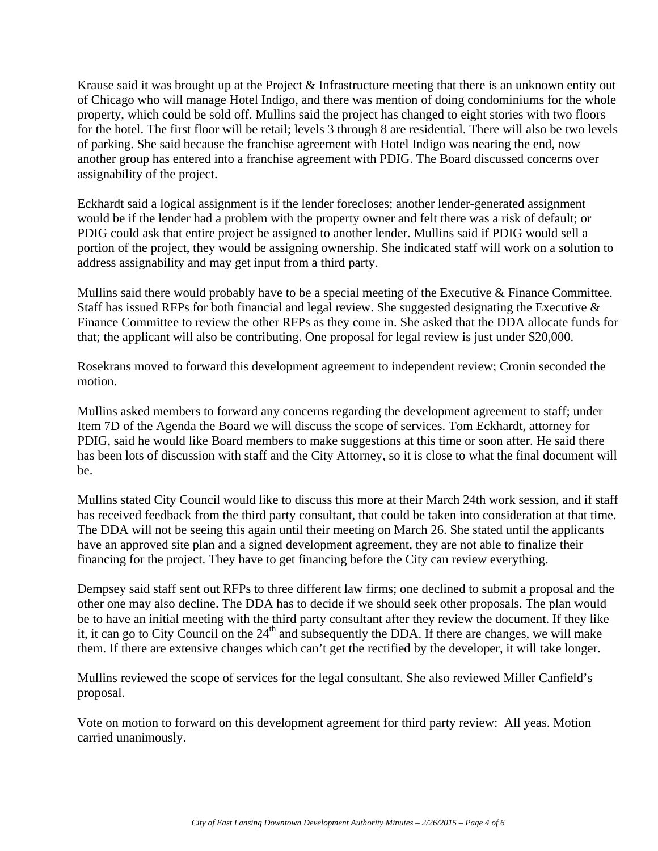Krause said it was brought up at the Project & Infrastructure meeting that there is an unknown entity out of Chicago who will manage Hotel Indigo, and there was mention of doing condominiums for the whole property, which could be sold off. Mullins said the project has changed to eight stories with two floors for the hotel. The first floor will be retail; levels 3 through 8 are residential. There will also be two levels of parking. She said because the franchise agreement with Hotel Indigo was nearing the end, now another group has entered into a franchise agreement with PDIG. The Board discussed concerns over assignability of the project.

Eckhardt said a logical assignment is if the lender forecloses; another lender-generated assignment would be if the lender had a problem with the property owner and felt there was a risk of default; or PDIG could ask that entire project be assigned to another lender. Mullins said if PDIG would sell a portion of the project, they would be assigning ownership. She indicated staff will work on a solution to address assignability and may get input from a third party.

Mullins said there would probably have to be a special meeting of the Executive & Finance Committee. Staff has issued RFPs for both financial and legal review. She suggested designating the Executive  $\&$ Finance Committee to review the other RFPs as they come in. She asked that the DDA allocate funds for that; the applicant will also be contributing. One proposal for legal review is just under \$20,000.

Rosekrans moved to forward this development agreement to independent review; Cronin seconded the motion.

Mullins asked members to forward any concerns regarding the development agreement to staff; under Item 7D of the Agenda the Board we will discuss the scope of services. Tom Eckhardt, attorney for PDIG, said he would like Board members to make suggestions at this time or soon after. He said there has been lots of discussion with staff and the City Attorney, so it is close to what the final document will be.

Mullins stated City Council would like to discuss this more at their March 24th work session, and if staff has received feedback from the third party consultant, that could be taken into consideration at that time. The DDA will not be seeing this again until their meeting on March 26. She stated until the applicants have an approved site plan and a signed development agreement, they are not able to finalize their financing for the project. They have to get financing before the City can review everything.

Dempsey said staff sent out RFPs to three different law firms; one declined to submit a proposal and the other one may also decline. The DDA has to decide if we should seek other proposals. The plan would be to have an initial meeting with the third party consultant after they review the document. If they like it, it can go to City Council on the  $24<sup>th</sup>$  and subsequently the DDA. If there are changes, we will make them. If there are extensive changes which can't get the rectified by the developer, it will take longer.

Mullins reviewed the scope of services for the legal consultant. She also reviewed Miller Canfield's proposal.

Vote on motion to forward on this development agreement for third party review: All yeas. Motion carried unanimously.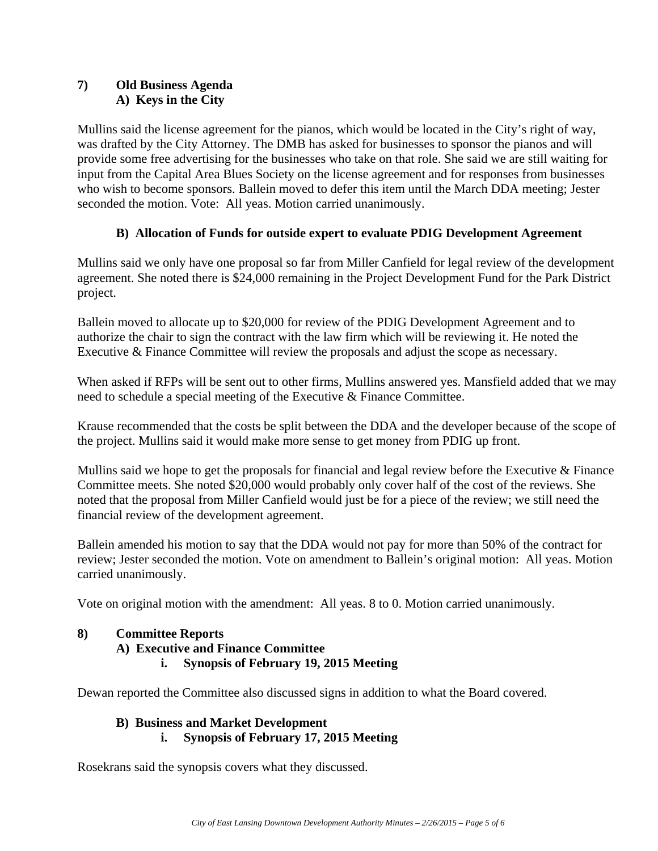# **7) Old Business Agenda A) Keys in the City**

Mullins said the license agreement for the pianos, which would be located in the City's right of way, was drafted by the City Attorney. The DMB has asked for businesses to sponsor the pianos and will provide some free advertising for the businesses who take on that role. She said we are still waiting for input from the Capital Area Blues Society on the license agreement and for responses from businesses who wish to become sponsors. Ballein moved to defer this item until the March DDA meeting; Jester seconded the motion. Vote: All yeas. Motion carried unanimously.

# **B) Allocation of Funds for outside expert to evaluate PDIG Development Agreement**

Mullins said we only have one proposal so far from Miller Canfield for legal review of the development agreement. She noted there is \$24,000 remaining in the Project Development Fund for the Park District project.

Ballein moved to allocate up to \$20,000 for review of the PDIG Development Agreement and to authorize the chair to sign the contract with the law firm which will be reviewing it. He noted the Executive & Finance Committee will review the proposals and adjust the scope as necessary.

When asked if RFPs will be sent out to other firms, Mullins answered yes. Mansfield added that we may need to schedule a special meeting of the Executive & Finance Committee.

Krause recommended that the costs be split between the DDA and the developer because of the scope of the project. Mullins said it would make more sense to get money from PDIG up front.

Mullins said we hope to get the proposals for financial and legal review before the Executive & Finance Committee meets. She noted \$20,000 would probably only cover half of the cost of the reviews. She noted that the proposal from Miller Canfield would just be for a piece of the review; we still need the financial review of the development agreement.

Ballein amended his motion to say that the DDA would not pay for more than 50% of the contract for review; Jester seconded the motion. Vote on amendment to Ballein's original motion: All yeas. Motion carried unanimously.

Vote on original motion with the amendment: All yeas. 8 to 0. Motion carried unanimously.

#### **8) Committee Reports**

- **A) Executive and Finance Committee** 
	- **i. Synopsis of February 19, 2015 Meeting**

Dewan reported the Committee also discussed signs in addition to what the Board covered.

#### **B) Business and Market Development i. Synopsis of February 17, 2015 Meeting**

Rosekrans said the synopsis covers what they discussed.